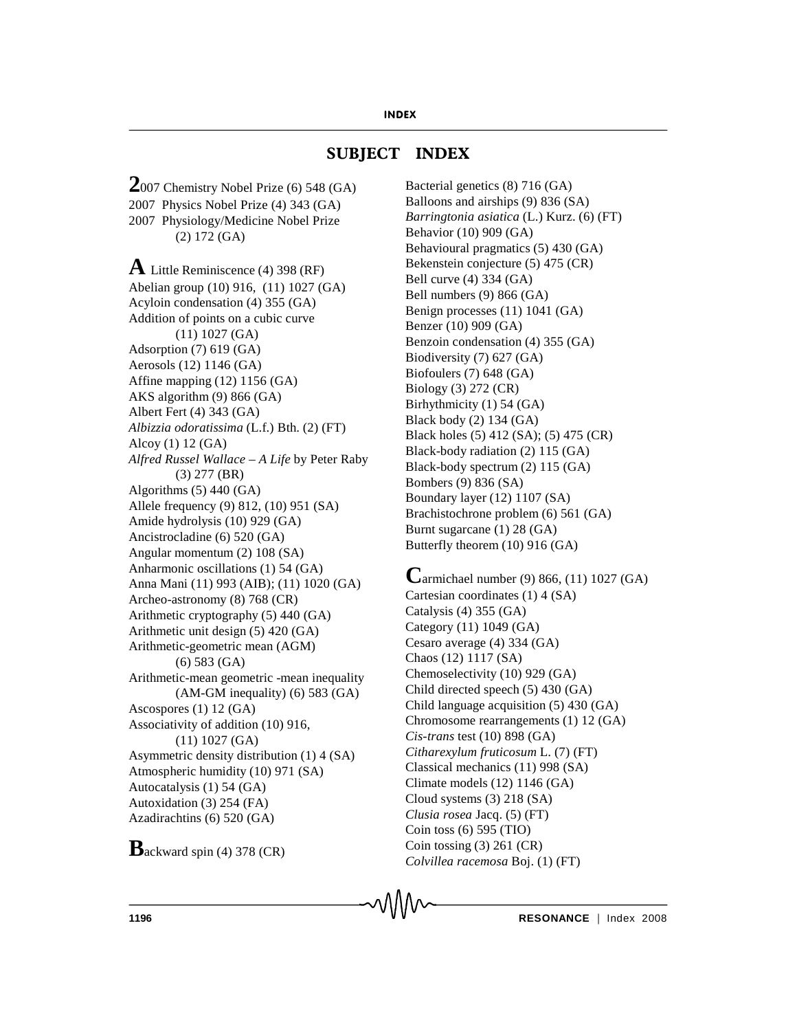# **SUBJECT INDEX**

**2**007 Chemistry Nobel Prize (6) 548 (GA) 2007 Physics Nobel Prize (4) 343 (GA) 2007 Physiology/Medicine Nobel Prize (2) 172 (GA)

**A** Little Reminiscence (4) 398 (RF) Abelian group (10) 916, (11) 1027 (GA) Acyloin condensation (4) 355 (GA) Addition of points on a cubic curve (11) 1027 (GA) Adsorption (7) 619 (GA) Aerosols (12) 1146 (GA) Affine mapping (12) 1156 (GA) AKS algorithm (9) 866 (GA) Albert Fert (4) 343 (GA) *Albizzia odoratissima* (L.f.) Bth. (2) (FT) Alcoy (1) 12 (GA) *Alfred Russel Wallace – A Life* by Peter Raby (3) 277 (BR) Algorithms (5) 440 (GA) Allele frequency (9) 812, (10) 951 (SA) Amide hydrolysis (10) 929 (GA) Ancistrocladine (6) 520 (GA) Angular momentum (2) 108 (SA) Anharmonic oscillations (1) 54 (GA) Anna Mani (11) 993 (AIB); (11) 1020 (GA) Archeo-astronomy (8) 768 (CR) Arithmetic cryptography (5) 440 (GA) Arithmetic unit design (5) 420 (GA) Arithmetic-geometric mean (AGM) (6) 583 (GA) Arithmetic-mean geometric -mean inequality (AM-GM inequality) (6) 583 (GA) Ascospores (1) 12 (GA) Associativity of addition (10) 916, (11) 1027 (GA) Asymmetric density distribution (1) 4 (SA) Atmospheric humidity (10) 971 (SA) Autocatalysis (1) 54 (GA) Autoxidation (3) 254 (FA) Azadirachtins (6) 520 (GA)

**B**ackward spin (4) 378 (CR)

Bacterial genetics (8) 716 (GA) Balloons and airships (9) 836 (SA) *Barringtonia asiatica* (L.) Kurz. (6) (FT) Behavior (10) 909 (GA) Behavioural pragmatics (5) 430 (GA) Bekenstein conjecture (5) 475 (CR) Bell curve (4) 334 (GA) Bell numbers (9) 866 (GA) Benign processes (11) 1041 (GA) Benzer (10) 909 (GA) Benzoin condensation (4) 355 (GA) Biodiversity (7) 627 (GA) Biofoulers (7) 648 (GA) Biology (3) 272 (CR) Birhythmicity (1) 54 (GA) Black body (2) 134 (GA) Black holes (5) 412 (SA); (5) 475 (CR) Black-body radiation (2) 115 (GA) Black-body spectrum (2) 115 (GA) Bombers (9) 836 (SA) Boundary layer (12) 1107 (SA) Brachistochrone problem (6) 561 (GA) Burnt sugarcane (1) 28 (GA) Butterfly theorem (10) 916 (GA)

**C**armichael number (9) 866, (11) 1027 (GA) Cartesian coordinates (1) 4 (SA) Catalysis (4) 355 (GA) Category (11) 1049 (GA) Cesaro average (4) 334 (GA) Chaos (12) 1117 (SA) Chemoselectivity (10) 929 (GA) Child directed speech (5) 430 (GA) Child language acquisition (5) 430 (GA) Chromosome rearrangements (1) 12 (GA) *Cis-trans* test (10) 898 (GA) *Citharexylum fruticosum* L. (7) (FT) Classical mechanics (11) 998 (SA) Climate models (12) 1146 (GA) Cloud systems (3) 218 (SA) *Clusia rosea* Jacq. (5) (FT) Coin toss (6) 595 (TIO) Coin tossing (3) 261 (CR) *Colvillea racemosa* Boj. (1) (FT)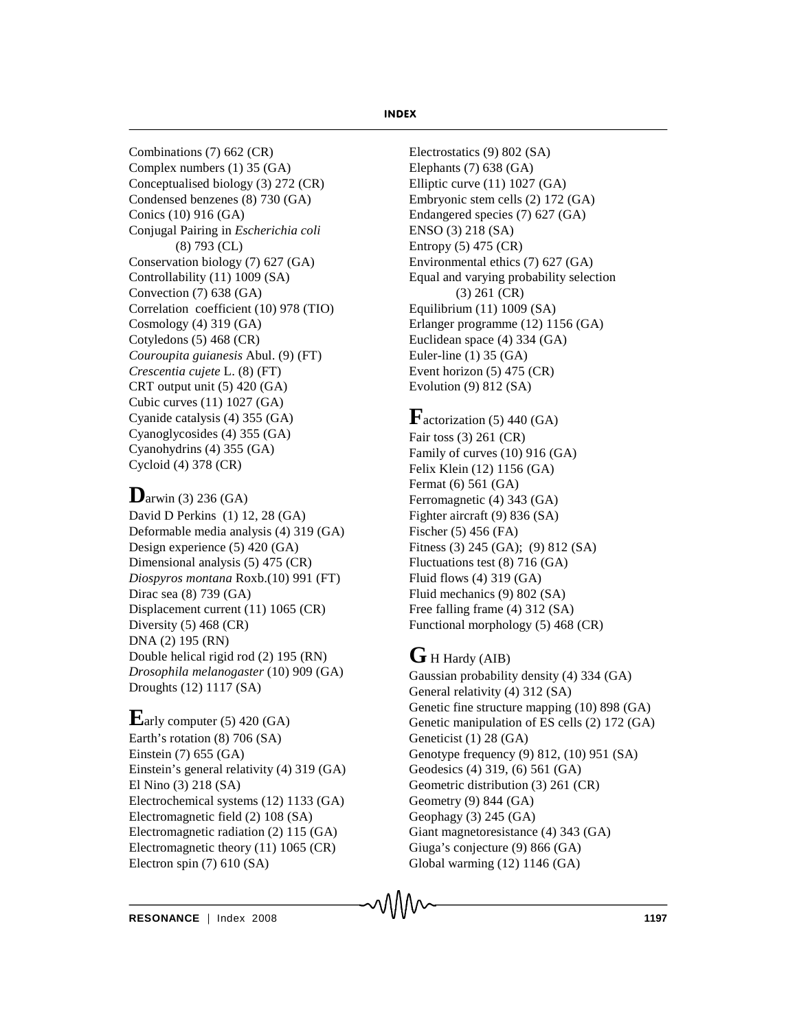Combinations (7) 662 (CR) Complex numbers (1) 35 (GA) Conceptualised biology (3) 272 (CR) Condensed benzenes (8) 730 (GA) Conics (10) 916 (GA) Conjugal Pairing in *Escherichia coli* (8) 793 (CL) Conservation biology (7) 627 (GA) Controllability (11) 1009 (SA) Convection (7) 638 (GA) Correlation coefficient (10) 978 (TIO) Cosmology (4) 319 (GA) Cotyledons (5) 468 (CR) *Couroupita guianesis* Abul. (9) (FT) *Crescentia cujete* L. (8) (FT) CRT output unit (5) 420 (GA) Cubic curves (11) 1027 (GA) Cyanide catalysis (4) 355 (GA) Cyanoglycosides (4) 355 (GA) Cyanohydrins (4) 355 (GA) Cycloid (4) 378 (CR)

# **D**arwin (3) 236 (GA)

David D Perkins (1) 12, 28 (GA) Deformable media analysis (4) 319 (GA) Design experience (5) 420 (GA) Dimensional analysis (5) 475 (CR) *Diospyros montana* Roxb.(10) 991 (FT) Dirac sea (8) 739 (GA) Displacement current (11) 1065 (CR) Diversity (5) 468 (CR) DNA (2) 195 (RN) Double helical rigid rod (2) 195 (RN) *Drosophila melanogaster* (10) 909 (GA) Droughts (12) 1117 (SA)

# **E**arly computer  $(5)$  420  $(GA)$

Earth's rotation (8) 706 (SA) Einstein (7) 655 (GA) Einstein's general relativity (4) 319 (GA) El Nino (3) 218 (SA) Electrochemical systems (12) 1133 (GA) Electromagnetic field (2) 108 (SA) Electromagnetic radiation (2) 115 (GA) Electromagnetic theory (11) 1065 (CR) Electron spin (7) 610 (SA)

Electrostatics (9) 802 (SA) Elephants (7) 638 (GA) Elliptic curve (11) 1027 (GA) Embryonic stem cells (2) 172 (GA) Endangered species (7) 627 (GA) ENSO (3) 218 (SA) Entropy (5) 475 (CR) Environmental ethics (7) 627 (GA) Equal and varying probability selection (3) 261 (CR) Equilibrium (11) 1009 (SA) Erlanger programme (12) 1156 (GA) Euclidean space (4) 334 (GA) Euler-line (1) 35 (GA) Event horizon (5) 475 (CR) Evolution (9) 812 (SA)

# $\mathbf{F}$ actorization (5) 440 (GA)

Fair toss (3) 261 (CR) Family of curves (10) 916 (GA) Felix Klein (12) 1156 (GA) Fermat (6) 561 (GA) Ferromagnetic (4) 343 (GA) Fighter aircraft (9) 836 (SA) Fischer (5) 456 (FA) Fitness (3) 245 (GA); (9) 812 (SA) Fluctuations test (8) 716 (GA) Fluid flows (4) 319 (GA) Fluid mechanics (9) 802 (SA) Free falling frame (4) 312 (SA) Functional morphology (5) 468 (CR)

# G H Hardy (AIB)

Gaussian probability density (4) 334 (GA) General relativity (4) 312 (SA) Genetic fine structure mapping (10) 898 (GA) Genetic manipulation of ES cells (2) 172 (GA) Geneticist (1) 28 (GA) Genotype frequency (9) 812, (10) 951 (SA) Geodesics (4) 319, (6) 561 (GA) Geometric distribution (3) 261 (CR) Geometry (9) 844 (GA) Geophagy (3) 245 (GA) Giant magnetoresistance (4) 343 (GA) Giuga's conjecture (9) 866 (GA) Global warming (12) 1146 (GA)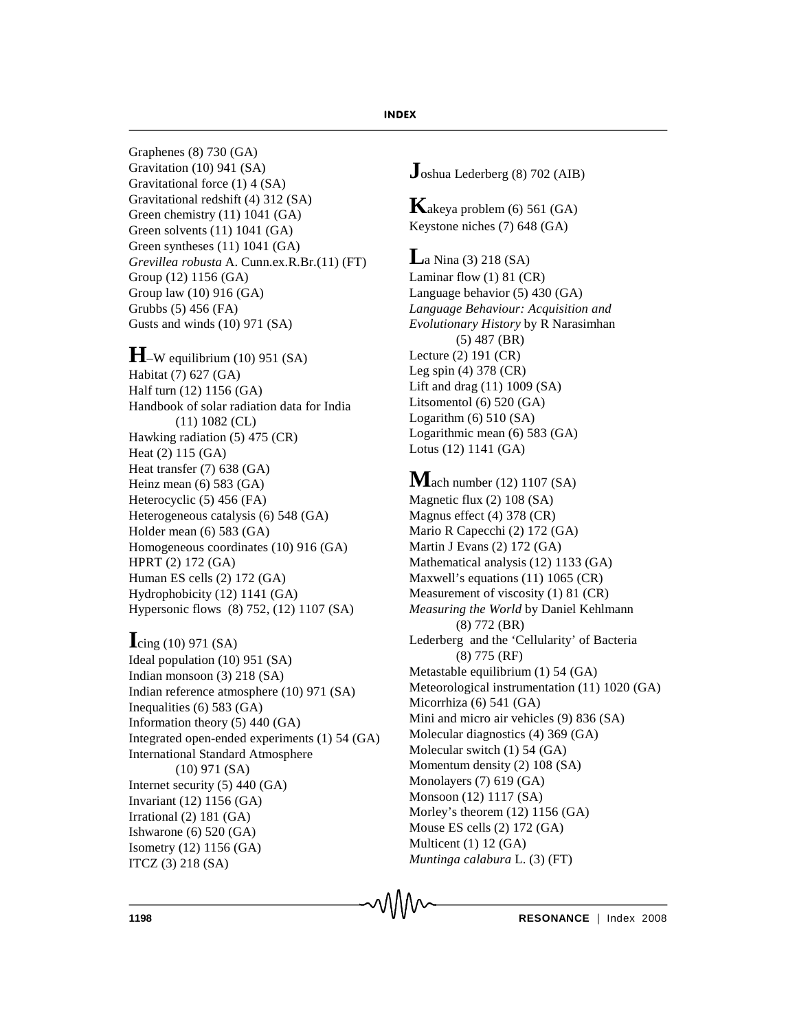Graphenes (8) 730 (GA) Gravitation (10) 941 (SA) Gravitational force (1) 4 (SA) Gravitational redshift (4) 312 (SA) Green chemistry (11) 1041 (GA) Green solvents (11) 1041 (GA) Green syntheses (11) 1041 (GA) *Grevillea robusta* A. Cunn.ex.R.Br.(11) (FT) Group (12) 1156 (GA) Group law (10) 916 (GA) Grubbs (5) 456 (FA) Gusts and winds (10) 971 (SA)

# $H$ –W equilibrium (10) 951 (SA)

Habitat (7) 627 (GA) Half turn (12) 1156 (GA) Handbook of solar radiation data for India (11) 1082 (CL) Hawking radiation (5) 475 (CR) Heat (2) 115 (GA) Heat transfer (7) 638 (GA) Heinz mean (6) 583 (GA) Heterocyclic (5) 456 (FA) Heterogeneous catalysis (6) 548 (GA) Holder mean (6) 583 (GA) Homogeneous coordinates (10) 916 (GA) HPRT (2) 172 (GA) Human ES cells (2) 172 (GA) Hydrophobicity (12) 1141 (GA) Hypersonic flows (8) 752, (12) 1107 (SA)

## **I**cing (10) 971 (SA)

Ideal population (10) 951 (SA) Indian monsoon (3) 218 (SA) Indian reference atmosphere (10) 971 (SA) Inequalities (6) 583 (GA) Information theory (5) 440 (GA) Integrated open-ended experiments (1) 54 (GA) International Standard Atmosphere (10) 971 (SA) Internet security (5) 440 (GA) Invariant (12) 1156 (GA) Irrational (2) 181 (GA) Ishwarone (6) 520 (GA) Isometry (12) 1156 (GA) ITCZ (3) 218 (SA)

**J**oshua Lederberg (8) 702 (AIB)

**K**akeya problem (6) 561 (GA) Keystone niches (7) 648 (GA)

## **L**a Nina (3) 218 (SA)

Laminar flow (1) 81 (CR) Language behavior (5) 430 (GA) *Language Behaviour: Acquisition and Evolutionary History* by R Narasimhan (5) 487 (BR) Lecture (2) 191 (CR) Leg spin (4) 378 (CR) Lift and drag (11) 1009 (SA) Litsomentol (6) 520 (GA) Logarithm  $(6)$  510  $(SA)$ Logarithmic mean (6) 583 (GA) Lotus (12) 1141 (GA)

## **M**ach number (12) 1107 (SA) Magnetic flux (2) 108 (SA) Magnus effect (4) 378 (CR) Mario R Capecchi (2) 172 (GA) Martin J Evans (2) 172 (GA) Mathematical analysis (12) 1133 (GA) Maxwell's equations (11) 1065 (CR) Measurement of viscosity (1) 81 (CR) *Measuring the World* by Daniel Kehlmann (8) 772 (BR) Lederberg and the 'Cellularity' of Bacteria (8) 775 (RF) Metastable equilibrium (1) 54 (GA) Meteorological instrumentation (11) 1020 (GA)

Micorrhiza (6) 541 (GA) Mini and micro air vehicles (9) 836 (SA) Molecular diagnostics (4) 369 (GA) Molecular switch (1) 54 (GA) Momentum density (2) 108 (SA) Monolayers (7) 619 (GA) Monsoon (12) 1117 (SA) Morley's theorem (12) 1156 (GA) Mouse ES cells (2) 172 (GA) Multicent (1) 12 (GA)

*Muntinga calabura* L. (3) (FT)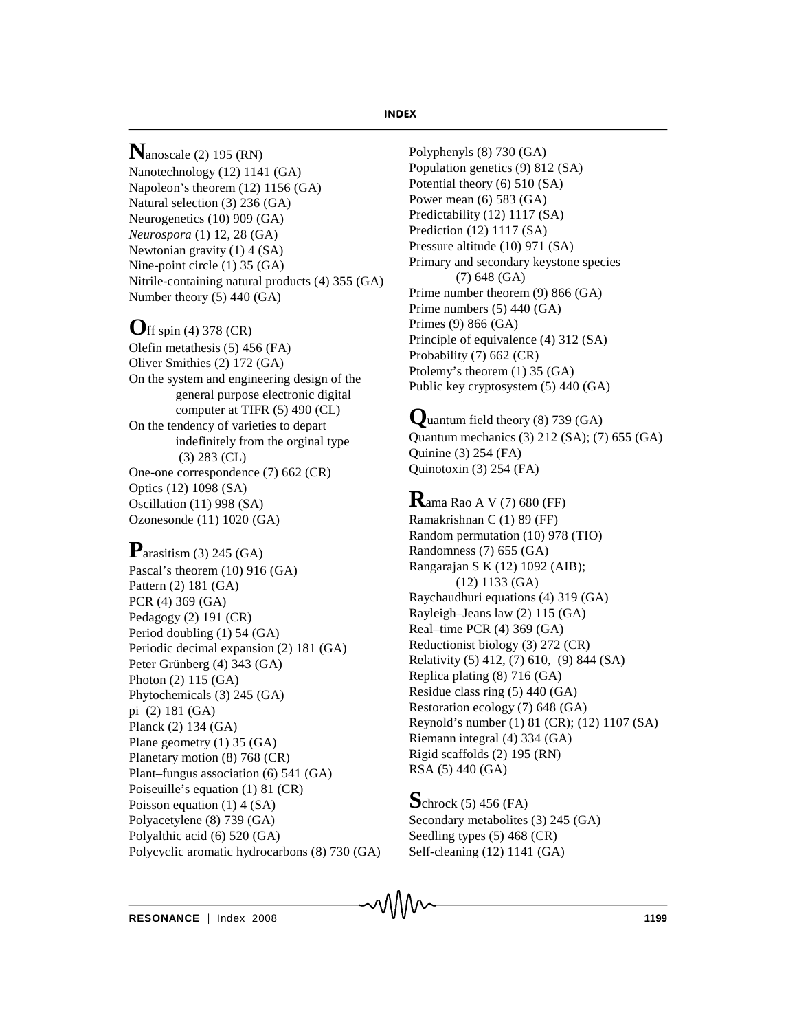**N**anoscale (2) 195 (RN) Nanotechnology (12) 1141 (GA) Napoleon's theorem (12) 1156 (GA) Natural selection (3) 236 (GA) Neurogenetics (10) 909 (GA) *Neurospora* (1) 12, 28 (GA) Newtonian gravity (1) 4 (SA) Nine-point circle (1) 35 (GA) Nitrile-containing natural products (4) 355 (GA) Number theory (5) 440 (GA)

## **O**ff spin (4) 378 (CR)

Olefin metathesis (5) 456 (FA) Oliver Smithies (2) 172 (GA) On the system and engineering design of the general purpose electronic digital computer at TIFR (5) 490 (CL) On the tendency of varieties to depart indefinitely from the orginal type (3) 283 (CL) One-one correspondence (7) 662 (CR) Optics (12) 1098 (SA) Oscillation (11) 998 (SA) Ozonesonde (11) 1020 (GA)

## **P**arasitism (3) 245 (GA)

Pascal's theorem (10) 916 (GA) Pattern (2) 181 (GA) PCR (4) 369 (GA) Pedagogy (2) 191 (CR) Period doubling (1) 54 (GA) Periodic decimal expansion (2) 181 (GA) Peter Grünberg (4) 343 (GA) Photon (2) 115 (GA) Phytochemicals (3) 245 (GA) pi (2) 181 (GA) Planck (2) 134 (GA) Plane geometry (1) 35 (GA) Planetary motion (8) 768 (CR) Plant–fungus association (6) 541 (GA) Poiseuille's equation (1) 81 (CR) Poisson equation (1) 4 (SA) Polyacetylene (8) 739 (GA) Polyalthic acid (6) 520 (GA) Polycyclic aromatic hydrocarbons (8) 730 (GA) Polyphenyls (8) 730 (GA) Population genetics (9) 812 (SA) Potential theory (6) 510 (SA) Power mean (6) 583 (GA) Predictability (12) 1117 (SA) Prediction (12) 1117 (SA) Pressure altitude (10) 971 (SA) Primary and secondary keystone species (7) 648 (GA) Prime number theorem (9) 866 (GA) Prime numbers (5) 440 (GA) Primes (9) 866 (GA) Principle of equivalence (4) 312 (SA) Probability (7) 662 (CR) Ptolemy's theorem (1) 35 (GA) Public key cryptosystem (5) 440 (GA)

**Q**uantum field theory (8) 739 (GA) Quantum mechanics (3) 212 (SA); (7) 655 (GA) Quinine (3) 254 (FA) Quinotoxin (3) 254 (FA)

**R**ama Rao A V (7) 680 (FF) Ramakrishnan C (1) 89 (FF) Random permutation (10) 978 (TIO) Randomness (7) 655 (GA) Rangarajan S K (12) 1092 (AIB); (12) 1133 (GA) Raychaudhuri equations (4) 319 (GA) Rayleigh–Jeans law (2) 115 (GA) Real–time PCR (4) 369 (GA) Reductionist biology (3) 272 (CR) Relativity (5) 412, (7) 610, (9) 844 (SA) Replica plating (8) 716 (GA) Residue class ring (5) 440 (GA) Restoration ecology (7) 648 (GA) Reynold's number (1) 81 (CR); (12) 1107 (SA) Riemann integral (4) 334 (GA) Rigid scaffolds (2) 195 (RN) RSA (5) 440 (GA)

**S**chrock (5) 456 (FA) Secondary metabolites (3) 245 (GA) Seedling types (5) 468 (CR) Self-cleaning (12) 1141 (GA)

**RESONANCE** | Index 2008 **1199**